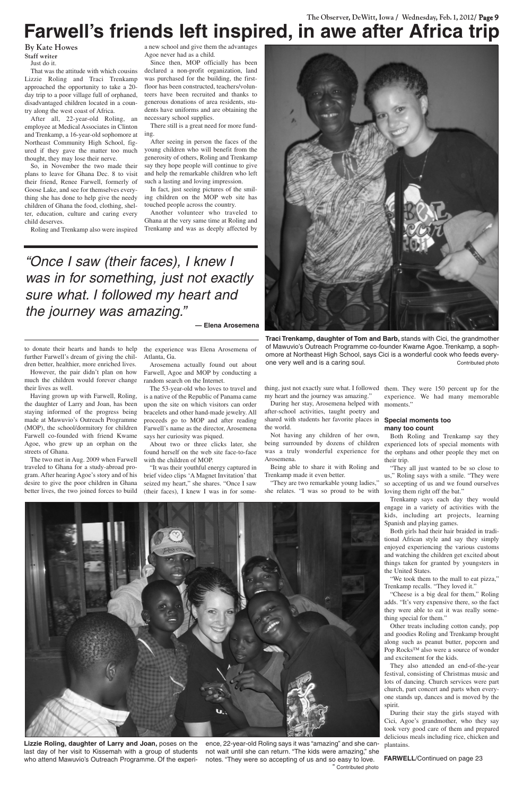## **The Observer, DeWitt, Iowa / Wednesday, Feb. 1, 2012/ Page 9 Farwell's friends left inspired, in awe after Africa trip**

**By Kate Howes Staff writer**

Just do it.

That was the attitude with which cousins Lizzie Roling and Traci Trenkamp approached the opportunity to take a 20 day trip to a poor village full of orphaned, disadvantaged children located in a country along the west coast of Africa.

After all, 22-year-old Roling, an employee at Medical Associates in Clinton and Trenkamp, a 16-year-old sophomore at Northeast Community High School, figured if they gave the matter too much thought, they may lose their nerve.

So, in November the two made their plans to leave for Ghana Dec. 8 to visit their friend, Renee Farwell, formerly of Goose Lake, and see for themselves everything she has done to help give the needy children of Ghana the food, clothing, shelter, education, culture and caring every child deserves.

Roling and Trenkamp also were inspired

a new school and give them the advantages Agoe never had as a child.

Since then, MOP officially has been declared a non-profit organization, land was purchased for the building, the firstfloor has been constructed, teachers/volunteers have been recruited and thanks to generous donations of area residents, students have uniforms and are obtaining the necessary school supplies.

There still is a great need for more funding.

After seeing in person the faces of the young children who will benefit from the generosity of others, Roling and Trenkamp say they hope people will continue to give and help the remarkable children who left such a lasting and loving impression.

In fact, just seeing pictures of the smiling children on the MOP web site has touched people across the country.

Another volunteer who traveled to Ghana at the very same time at Roling and Trenkamp and was as deeply affected by

to donate their hearts and hands to help further Farwell's dream of giving the children better, healthier, more enriched lives.

However, the pair didn't plan on how much the children would forever change their lives as well.

Having grown up with Farwell, Roling, the daughter of Larry and Joan, has been staying informed of the progress being made at Mawuvio's Outreach Programme (MOP), the school/dormitory for children Farwell co-founded with friend Kwame Agoe, who grew up an orphan on the streets of Ghana.

The two met in Aug. 2009 when Farwell traveled to Ghana for a study-abroad program. After hearing Agoe's story and of his desire to give the poor children in Ghana better lives, the two joined forces to build

the experience was Elena Arosemena of Atlanta, Ga.

Arosemena actually found out about Farwell, Agoe and MOP by conducting a random search on the Internet.



**Traci Trenkamp, daughter of Tom and Barb,** stands with Cici, the grandmother of Mawuvio's Outreach Programme co-founder Kwame Agoe. Trenkamp, a sophomore at Northeast High School, says Cici is a wonderful cook who feeds everyone very well and is a caring soul. The state of the contributed photo

The 53-year-old who loves to travel and is a native of the Republic of Panama came upon the site on which visitors can order bracelets and other hand-made jewelry. All proceeds go to MOP and after reading Farwell's name as the director, Arosemena says her curiosity was piqued.

About two or three clicks later, she found herself on the web site face-to-face with the children of MOP.

"It was their youthful energy captured in brief video clips 'A Magnet Invitation' that seized my heart," she shares. "Once I saw (their faces), I knew I was in for some-

thing, just not exactly sure what. I followed them. They were 150 percent up for the my heart and the journey was amazing."

During her stay, Arosemena helped with after-school activities, taught poetry and shared with students her favorite places in **Special moments too**  the world.

Not having any children of her own, was a truly wonderful experience for Arosemena.

Being able to share it with Roling and Trenkamp made it even better.

being surrounded by dozens of children experienced lots of special moments with Both Roling and Trenkamp say they the orphans and other people they met on their trip.

experience. We had many memorable moments."

## **many too count**

"They are two remarkable young ladies," she relates. "I was so proud to be with loving them right off the bat."

"They all just wanted to be so close to us," Roling says with a smile. "They were so accepting of us and we found ourselves

Trenkamp says each day they would engage in a variety of activities with the kids, including art projects, learning Spanish and playing games.

Both girls had their hair braided in traditional African style and say they simply enjoyed experiencing the various customs and watching the children get excited about things taken for granted by youngsters in the United States.

"We took them to the mall to eat pizza," Trenkamp recalls. "They loved it."



"Cheese is a big deal for them," Roling adds. "It's very expensive there, so the fact they were able to eat it was really something special for them."

Other treats including cotton candy, pop and goodies Roling and Trenkamp brought along such as peanut butter, popcorn and Pop Rocks™ also were a source of wonder and excitement for the kids.

They also attended an end-of-the-year festival, consisting of Christmas music and lots of dancing. Church services were part church, part concert and parts when everyone stands up, dances and is moved by the spirit.

During their stay the girls stayed with Cici, Agoe's grandmother, who they say took very good care of them and prepared delicious meals including rice, chicken and plantains.

**Lizzie Roling, daughter of Larry and Joan,** poses on the last day of her visit to Kissemah with a group of students who attend Mawuvio's Outreach Programme. Of the experience, 22-year-old Roling says it was "amazing" and she cannot wait until she can return. "The kids were amazing," she notes. "They were so accepting of us and so easy to love. " Contributed photo

**FARWELL**/Continued on page 23

"Once I saw (their faces), I knew I was in for something, just not exactly sure what. I followed my heart and the journey was amazing."

**— Elena Arosemena**